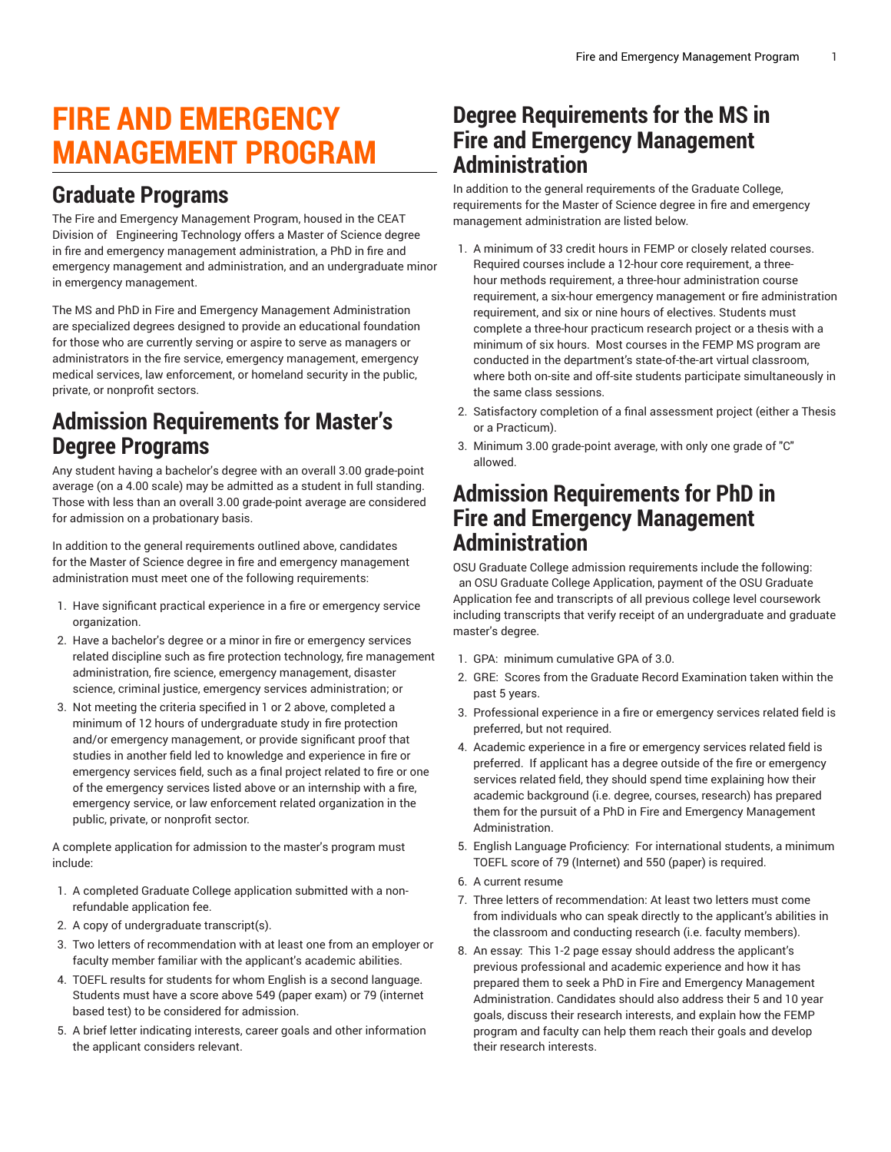# **FIRE AND EMERGENCY MANAGEMENT PROGRAM**

#### **Graduate Programs**

The Fire and Emergency Management Program, housed in the CEAT Division of Engineering Technology offers a Master of Science degree in fire and emergency management administration, a PhD in fire and emergency management and administration, and an undergraduate minor in emergency management.

The MS and PhD in Fire and Emergency Management Administration are specialized degrees designed to provide an educational foundation for those who are currently serving or aspire to serve as managers or administrators in the fire service, emergency management, emergency medical services, law enforcement, or homeland security in the public, private, or nonprofit sectors.

# **Admission Requirements for Master's Degree Programs**

Any student having a bachelor's degree with an overall 3.00 grade-point average (on a 4.00 scale) may be admitted as a student in full standing. Those with less than an overall 3.00 grade-point average are considered for admission on a probationary basis.

In addition to the general requirements outlined above, candidates for the Master of Science degree in fire and emergency management administration must meet one of the following requirements:

- 1. Have significant practical experience in a fire or emergency service organization.
- 2. Have a bachelor's degree or a minor in fire or emergency services related discipline such as fire protection technology, fire management administration, fire science, emergency management, disaster science, criminal justice, emergency services administration; or
- 3. Not meeting the criteria specified in 1 or 2 above, completed a minimum of 12 hours of undergraduate study in fire protection and/or emergency management, or provide significant proof that studies in another field led to knowledge and experience in fire or emergency services field, such as a final project related to fire or one of the emergency services listed above or an internship with a fire, emergency service, or law enforcement related organization in the public, private, or nonprofit sector.

A complete application for admission to the master's program must include:

- 1. A completed Graduate College application submitted with a nonrefundable application fee.
- 2. A copy of undergraduate transcript(s).
- 3. Two letters of recommendation with at least one from an employer or faculty member familiar with the applicant's academic abilities.
- 4. TOEFL results for students for whom English is a second language. Students must have a score above 549 (paper exam) or 79 (internet based test) to be considered for admission.
- 5. A brief letter indicating interests, career goals and other information the applicant considers relevant.

# **Degree Requirements for the MS in Fire and Emergency Management Administration**

In addition to the general requirements of the Graduate College, requirements for the Master of Science degree in fire and emergency management administration are listed below.

- 1. A minimum of 33 credit hours in FEMP or closely related courses. Required courses include a 12-hour core requirement, a threehour methods requirement, a three-hour administration course requirement, a six-hour emergency management or fire administration requirement, and six or nine hours of electives. Students must complete a three-hour practicum research project or a thesis with a minimum of six hours. Most courses in the FEMP MS program are conducted in the department's state-of-the-art virtual classroom, where both on-site and off-site students participate simultaneously in the same class sessions.
- 2. Satisfactory completion of a final assessment project (either a Thesis or a Practicum).
- 3. Minimum 3.00 grade-point average, with only one grade of "C" allowed.

## **Admission Requirements for PhD in Fire and Emergency Management Administration**

OSU Graduate College admission requirements include the following: an OSU Graduate College Application, payment of the OSU Graduate Application fee and transcripts of all previous college level coursework including transcripts that verify receipt of an undergraduate and graduate master's degree.

- 1. GPA: minimum cumulative GPA of 3.0.
- 2. GRE: Scores from the Graduate Record Examination taken within the past 5 years.
- 3. Professional experience in a fire or emergency services related field is preferred, but not required.
- 4. Academic experience in a fire or emergency services related field is preferred. If applicant has a degree outside of the fire or emergency services related field, they should spend time explaining how their academic background (i.e. degree, courses, research) has prepared them for the pursuit of a PhD in Fire and Emergency Management **Administration**
- 5. English Language Proficiency: For international students, a minimum TOEFL score of 79 (Internet) and 550 (paper) is required.
- 6. A current resume
- 7. Three letters of recommendation: At least two letters must come from individuals who can speak directly to the applicant's abilities in the classroom and conducting research (i.e. faculty members).
- 8. An essay: This 1-2 page essay should address the applicant's previous professional and academic experience and how it has prepared them to seek a PhD in Fire and Emergency Management Administration. Candidates should also address their 5 and 10 year goals, discuss their research interests, and explain how the FEMP program and faculty can help them reach their goals and develop their research interests.